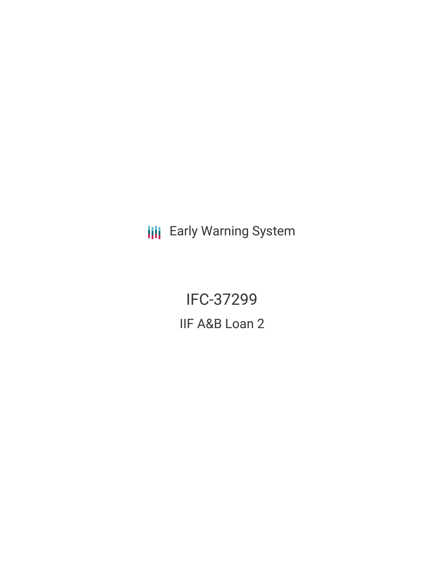**III** Early Warning System

IFC-37299 IIF A&B Loan 2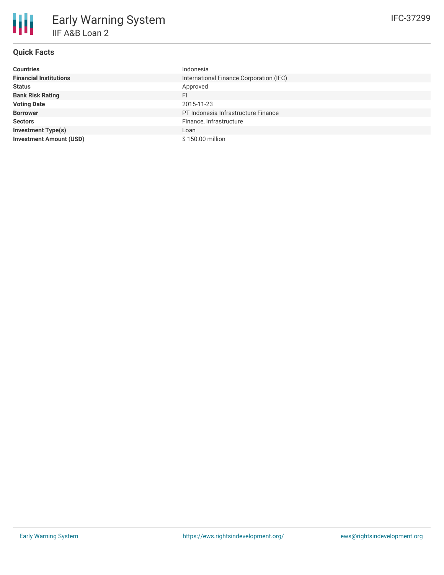# **Quick Facts**

冊

| <b>Countries</b>               | Indonesia                               |
|--------------------------------|-----------------------------------------|
| <b>Financial Institutions</b>  | International Finance Corporation (IFC) |
| <b>Status</b>                  | Approved                                |
| <b>Bank Risk Rating</b>        | FI                                      |
| <b>Voting Date</b>             | 2015-11-23                              |
| <b>Borrower</b>                | PT Indonesia Infrastructure Finance     |
| <b>Sectors</b>                 | Finance, Infrastructure                 |
| <b>Investment Type(s)</b>      | Loan                                    |
| <b>Investment Amount (USD)</b> | \$150.00 million                        |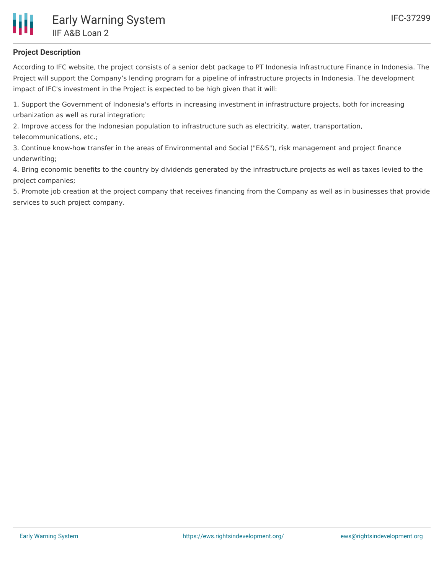

## **Project Description**

According to IFC website, the project consists of a senior debt package to PT Indonesia Infrastructure Finance in Indonesia. The Project will support the Company's lending program for a pipeline of infrastructure projects in Indonesia. The development impact of IFC's investment in the Project is expected to be high given that it will:

1. Support the Government of Indonesia's efforts in increasing investment in infrastructure projects, both for increasing urbanization as well as rural integration;

2. Improve access for the Indonesian population to infrastructure such as electricity, water, transportation, telecommunications, etc.;

3. Continue know-how transfer in the areas of Environmental and Social ("E&S"), risk management and project finance underwriting;

4. Bring economic benefits to the country by dividends generated by the infrastructure projects as well as taxes levied to the project companies;

5. Promote job creation at the project company that receives financing from the Company as well as in businesses that provide services to such project company.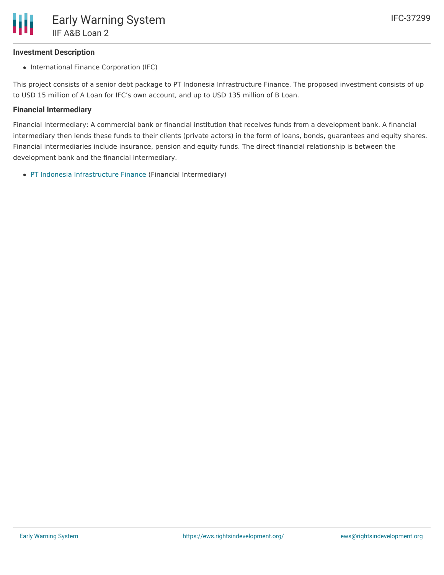## **Investment Description**

• International Finance Corporation (IFC)

This project consists of a senior debt package to PT Indonesia Infrastructure Finance. The proposed investment consists of up to USD 15 million of A Loan for IFC's own account, and up to USD 135 million of B Loan.

#### **Financial Intermediary**

Financial Intermediary: A commercial bank or financial institution that receives funds from a development bank. A financial intermediary then lends these funds to their clients (private actors) in the form of loans, bonds, guarantees and equity shares. Financial intermediaries include insurance, pension and equity funds. The direct financial relationship is between the development bank and the financial intermediary.

PT Indonesia [Infrastructure](file:///actor/1009/) Finance (Financial Intermediary)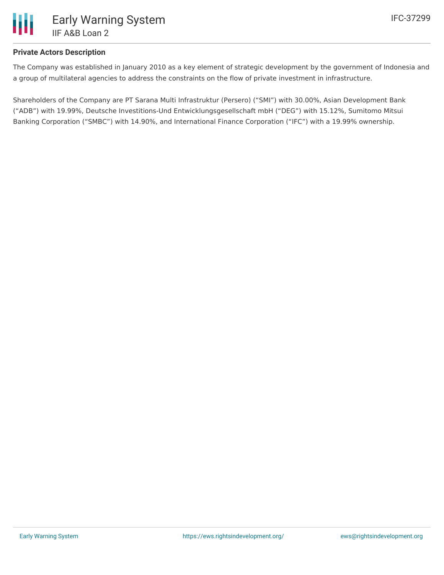

## **Private Actors Description**

The Company was established in January 2010 as a key element of strategic development by the government of Indonesia and a group of multilateral agencies to address the constraints on the flow of private investment in infrastructure.

Shareholders of the Company are PT Sarana Multi Infrastruktur (Persero) ("SMI") with 30.00%, Asian Development Bank ("ADB") with 19.99%, Deutsche Investitions-Und Entwicklungsgesellschaft mbH ("DEG") with 15.12%, Sumitomo Mitsui Banking Corporation ("SMBC") with 14.90%, and International Finance Corporation ("IFC") with a 19.99% ownership.